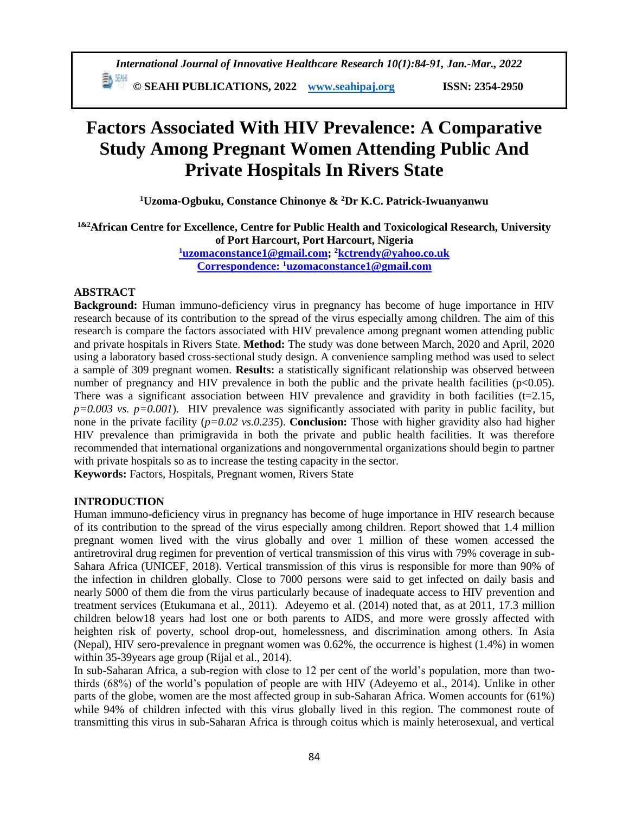**ED** SEAHI PUBLICATIONS, 2022 *[www.seahipaj.org](http://www.seahipaj.org/)* ISSN: 2354-2950

# **Factors Associated With HIV Prevalence: A Comparative Study Among Pregnant Women Attending Public And Private Hospitals In Rivers State**

**<sup>1</sup>Uzoma-Ogbuku, Constance Chinonye & <sup>2</sup>Dr K.C. Patrick-Iwuanyanwu**

**1&2African Centre for Excellence, Centre for Public Health and Toxicological Research, University of Port Harcourt, Port Harcourt, Nigeria <sup>1</sup>[uzomaconstance1@gmail.com;](mailto:1uzomaconstance1@gmail.com) <sup>2</sup>[kctrendy@yahoo.co.uk](mailto:kctrendy@yahoo.co.uk)**

**Correspondence: <sup>1</sup>[uzomaconstance1@gmail.com](mailto:1uzomaconstance1@gmail.com)**

## **ABSTRACT**

**Background:** Human immuno-deficiency virus in pregnancy has become of huge importance in HIV research because of its contribution to the spread of the virus especially among children. The aim of this research is compare the factors associated with HIV prevalence among pregnant women attending public and private hospitals in Rivers State. **Method:** The study was done between March, 2020 and April, 2020 using a laboratory based cross-sectional study design. A convenience sampling method was used to select a sample of 309 pregnant women. **Results:** a statistically significant relationship was observed between number of pregnancy and HIV prevalence in both the public and the private health facilities ( $p<0.05$ ). There was a significant association between HIV prevalence and gravidity in both facilities  $(t=2.15,$  $p=0.003$  vs.  $p=0.001$ ). HIV prevalence was significantly associated with parity in public facility, but none in the private facility (*p=0.02 vs.0.235*). **Conclusion:** Those with higher gravidity also had higher HIV prevalence than primigravida in both the private and public health facilities. It was therefore recommended that international organizations and nongovernmental organizations should begin to partner with private hospitals so as to increase the testing capacity in the sector.

**Keywords:** Factors, Hospitals, Pregnant women, Rivers State

# **INTRODUCTION**

Human immuno-deficiency virus in pregnancy has become of huge importance in HIV research because of its contribution to the spread of the virus especially among children. Report showed that 1.4 million pregnant women lived with the virus globally and over 1 million of these women accessed the antiretroviral drug regimen for prevention of vertical transmission of this virus with 79% coverage in sub-Sahara Africa (UNICEF, 2018). Vertical transmission of this virus is responsible for more than 90% of the infection in children globally. Close to 7000 persons were said to get infected on daily basis and nearly 5000 of them die from the virus particularly because of inadequate access to HIV prevention and treatment services (Etukumana et al., 2011). Adeyemo et al. (2014) noted that, as at 2011, 17.3 million children below18 years had lost one or both parents to AIDS, and more were grossly affected with heighten risk of poverty, school drop-out, homelessness, and discrimination among others. In Asia (Nepal), HIV sero-prevalence in pregnant women was 0.62%, the occurrence is highest (1.4%) in women within 35-39years age group (Rijal et al., 2014).

In sub-Saharan Africa, a sub-region with close to 12 per cent of the world's population, more than twothirds (68%) of the world's population of people are with HIV (Adeyemo et al., 2014). Unlike in other parts of the globe, women are the most affected group in sub-Saharan Africa. Women accounts for (61%) while 94% of children infected with this virus globally lived in this region. The commonest route of transmitting this virus in sub-Saharan Africa is through coitus which is mainly heterosexual, and vertical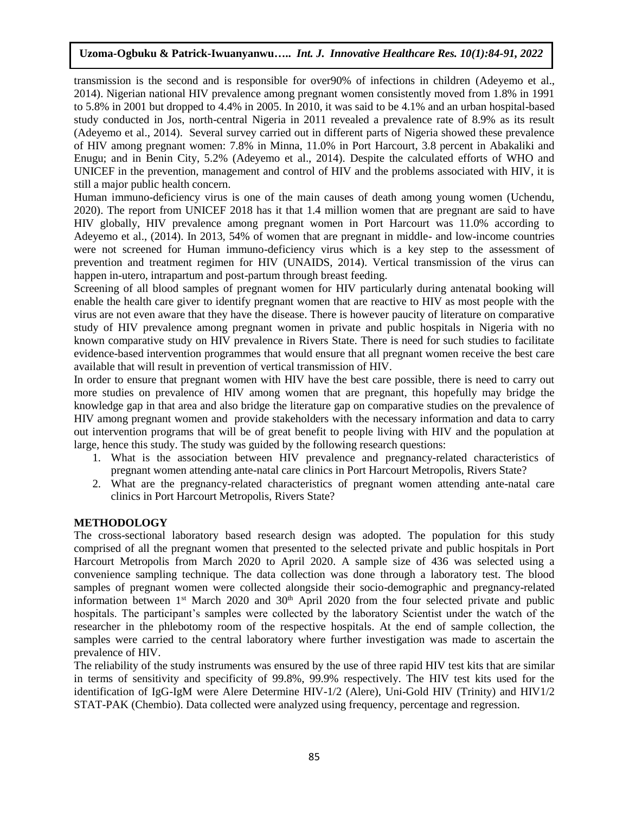transmission is the second and is responsible for over90% of infections in children (Adeyemo et al., 2014). Nigerian national HIV prevalence among pregnant women consistently moved from 1.8% in 1991 to 5.8% in 2001 but dropped to 4.4% in 2005. In 2010, it was said to be 4.1% and an urban hospital-based study conducted in Jos, north-central Nigeria in 2011 revealed a prevalence rate of 8.9% as its result (Adeyemo et al., 2014). Several survey carried out in different parts of Nigeria showed these prevalence of HIV among pregnant women: 7.8% in Minna, 11.0% in Port Harcourt, 3.8 percent in Abakaliki and Enugu; and in Benin City, 5.2% (Adeyemo et al., 2014). Despite the calculated efforts of WHO and UNICEF in the prevention, management and control of HIV and the problems associated with HIV, it is still a major public health concern.

Human immuno-deficiency virus is one of the main causes of death among young women (Uchendu, 2020). The report from UNICEF 2018 has it that 1.4 million women that are pregnant are said to have HIV globally, HIV prevalence among pregnant women in Port Harcourt was 11.0% according to Adeyemo et al., (2014). In 2013, 54% of women that are pregnant in middle- and low-income countries were not screened for Human immuno-deficiency virus which is a key step to the assessment of prevention and treatment regimen for HIV (UNAIDS, 2014). Vertical transmission of the virus can happen in-utero, intrapartum and post-partum through breast feeding.

Screening of all blood samples of pregnant women for HIV particularly during antenatal booking will enable the health care giver to identify pregnant women that are reactive to HIV as most people with the virus are not even aware that they have the disease. There is however paucity of literature on comparative study of HIV prevalence among pregnant women in private and public hospitals in Nigeria with no known comparative study on HIV prevalence in Rivers State. There is need for such studies to facilitate evidence-based intervention programmes that would ensure that all pregnant women receive the best care available that will result in prevention of vertical transmission of HIV.

In order to ensure that pregnant women with HIV have the best care possible, there is need to carry out more studies on prevalence of HIV among women that are pregnant, this hopefully may bridge the knowledge gap in that area and also bridge the literature gap on comparative studies on the prevalence of HIV among pregnant women and provide stakeholders with the necessary information and data to carry out intervention programs that will be of great benefit to people living with HIV and the population at large, hence this study. The study was guided by the following research questions:

- 1. What is the association between HIV prevalence and pregnancy-related characteristics of pregnant women attending ante-natal care clinics in Port Harcourt Metropolis, Rivers State?
- 2. What are the pregnancy-related characteristics of pregnant women attending ante-natal care clinics in Port Harcourt Metropolis, Rivers State?

# **METHODOLOGY**

The cross-sectional laboratory based research design was adopted. The population for this study comprised of all the pregnant women that presented to the selected private and public hospitals in Port Harcourt Metropolis from March 2020 to April 2020. A sample size of 436 was selected using a convenience sampling technique. The data collection was done through a laboratory test. The blood samples of pregnant women were collected alongside their socio-demographic and pregnancy-related information between  $1<sup>st</sup>$  March 2020 and 30<sup>th</sup> April 2020 from the four selected private and public hospitals. The participant's samples were collected by the laboratory Scientist under the watch of the researcher in the phlebotomy room of the respective hospitals. At the end of sample collection, the samples were carried to the central laboratory where further investigation was made to ascertain the prevalence of HIV.

The reliability of the study instruments was ensured by the use of three rapid HIV test kits that are similar in terms of sensitivity and specificity of 99.8%, 99.9% respectively. The HIV test kits used for the identification of IgG-IgM were Alere Determine HIV-1/2 (Alere), Uni-Gold HIV (Trinity) and HIV1/2 STAT-PAK (Chembio). Data collected were analyzed using frequency, percentage and regression.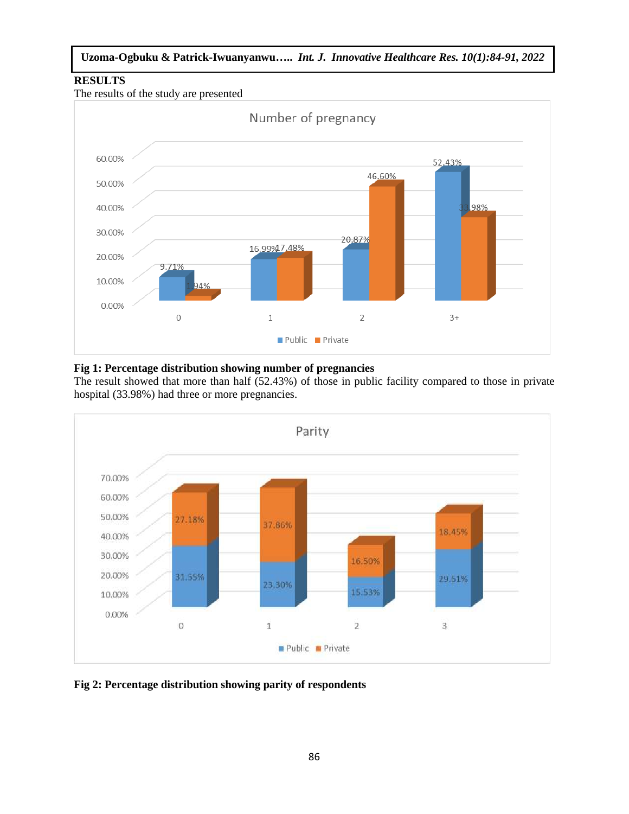# **RESULTS**





# **Fig 1: Percentage distribution showing number of pregnancies**

The result showed that more than half (52.43%) of those in public facility compared to those in private hospital (33.98%) had three or more pregnancies.



**Fig 2: Percentage distribution showing parity of respondents**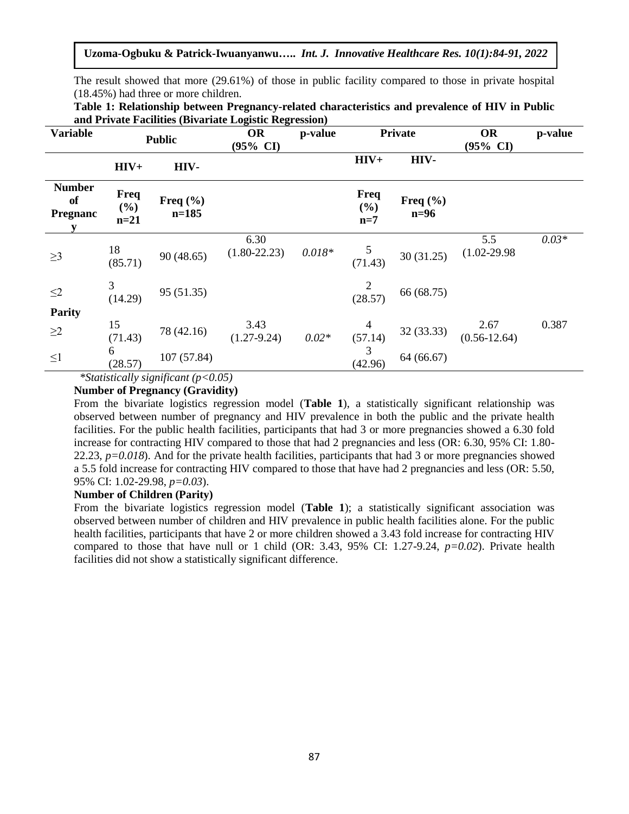**Uzoma-Ogbuku & Patrick-Iwuanyanwu…..** *Int. J. Innovative Healthcare Res. 10(1):84-91, 2022*

The result showed that more (29.61%) of those in public facility compared to those in private hospital (18.45%) had three or more children.

| and Frivate Facilities (Divariate Logistic Regression) |                       |                           |                           |          |                      |                        |                                  |         |
|--------------------------------------------------------|-----------------------|---------------------------|---------------------------|----------|----------------------|------------------------|----------------------------------|---------|
| <b>Variable</b>                                        | <b>Public</b>         |                           | OR<br>$(95\% \text{ CI})$ | p-value  | <b>Private</b>       |                        | <b>OR</b><br>$(95\% \text{ CI})$ | p-value |
|                                                        | $HIV+$                | HIV-                      |                           |          | $HIV+$               | HIV-                   |                                  |         |
| <b>Number</b><br>of<br><b>Pregnanc</b><br>y            | Freq<br>(%)<br>$n=21$ | Freq $(\% )$<br>$n = 185$ |                           |          | Freq<br>(%)<br>$n=7$ | Freq $(\% )$<br>$n=96$ |                                  |         |
| $\geq$ 3                                               | 18<br>(85.71)         | 90(48.65)                 | 6.30<br>$(1.80 - 22.23)$  | $0.018*$ | 5<br>(71.43)         | 30(31.25)              | 5.5<br>$(1.02 - 29.98)$          | $0.03*$ |
| $\leq$ 2<br>Parity                                     | 3<br>(14.29)          | 95 (51.35)                |                           |          | (28.57)              | 66 (68.75)             |                                  |         |
| $\geq$ 2                                               | 15<br>(71.43)         | 78 (42.16)                | 3.43<br>$(1.27 - 9.24)$   | $0.02*$  | 4<br>(57.14)         | 32 (33.33)             | 2.67<br>$(0.56 - 12.64)$         | 0.387   |
| $\leq$ 1                                               | 6<br>(28.57)          | 107 (57.84)               |                           |          | 3<br>(42.96)         | 64 (66.67)             |                                  |         |

| Table 1: Relationship between Pregnancy-related characteristics and prevalence of HIV in Public |  |  |
|-------------------------------------------------------------------------------------------------|--|--|
| and Private Facilities (Bivariate Logistic Regression)                                          |  |  |

 *\*Statistically significant (p<0.05)* 

**Number of Pregnancy (Gravidity)**

From the bivariate logistics regression model (**Table 1**), a statistically significant relationship was observed between number of pregnancy and HIV prevalence in both the public and the private health facilities. For the public health facilities, participants that had 3 or more pregnancies showed a 6.30 fold increase for contracting HIV compared to those that had 2 pregnancies and less (OR: 6.30, 95% CI: 1.80- 22.23, *p=0.018*). And for the private health facilities, participants that had 3 or more pregnancies showed a 5.5 fold increase for contracting HIV compared to those that have had 2 pregnancies and less (OR: 5.50, 95% CI: 1.02-29.98, *p=0.03*).

#### **Number of Children (Parity)**

From the bivariate logistics regression model (**Table 1**); a statistically significant association was observed between number of children and HIV prevalence in public health facilities alone. For the public health facilities, participants that have 2 or more children showed a 3.43 fold increase for contracting HIV compared to those that have null or 1 child (OR: 3.43, 95% CI: 1.27-9.24, *p=0.02*). Private health facilities did not show a statistically significant difference.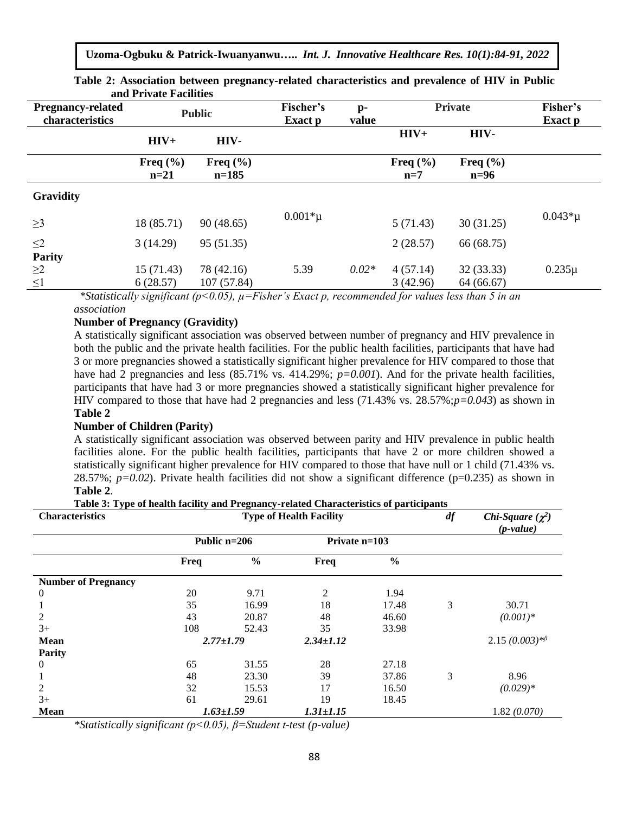**Uzoma-Ogbuku & Patrick-Iwuanyanwu…..** *Int. J. Innovative Healthcare Res. 10(1):84-91, 2022*

| anu i IIvate i aenities  |                        |                         |                      |                         |                       |                        |                |
|--------------------------|------------------------|-------------------------|----------------------|-------------------------|-----------------------|------------------------|----------------|
| <b>Pregnancy-related</b> | <b>Public</b>          |                         | Fischer's<br>Exact p | $\mathbf{p}$ -<br>value | <b>Private</b>        |                        | Fisher's       |
| characteristics          |                        |                         |                      |                         |                       |                        | <b>Exact</b> p |
|                          | $HIV+$                 | HIV-                    |                      |                         | $HIV+$                | HIV-                   |                |
|                          | Freq $(\% )$<br>$n=21$ | Freq $(\% )$<br>$n=185$ |                      |                         | Freq $(\% )$<br>$n=7$ | Freq $(\% )$<br>$n=96$ |                |
| Gravidity                |                        |                         |                      |                         |                       |                        |                |
| $\geq$ 3                 | 18 (85.71)             | 90(48.65)               | $0.001*$ µ           |                         | 5(71.43)              | 30(31.25)              | $0.043 * \mu$  |
| $\leq$ 2                 | 3(14.29)               | 95 (51.35)              |                      |                         | 2(28.57)              | 66 (68.75)             |                |
| <b>Parity</b>            |                        |                         |                      |                         |                       |                        |                |
| $\geq$ 2                 | 15(71.43)              | 78 (42.16)              | 5.39                 | $0.02*$                 | 4(57.14)              | 32(33.33)              | $0.235\mu$     |
| $\leq$ 1                 | 6(28.57)               | 107 (57.84)             |                      |                         | 3(42.96)              | 64 (66.67)             |                |

**Table 2: Association between pregnancy-related characteristics and prevalence of HIV in Public and Private Facilities** 

 *\*Statistically significant (p<0.05), µ=Fisher's Exact p, recommended for values less than 5 in an association*

## **Number of Pregnancy (Gravidity)**

A statistically significant association was observed between number of pregnancy and HIV prevalence in both the public and the private health facilities. For the public health facilities, participants that have had 3 or more pregnancies showed a statistically significant higher prevalence for HIV compared to those that have had 2 pregnancies and less (85.71% vs. 414.29%;  $p=0.001$ ). And for the private health facilities, participants that have had 3 or more pregnancies showed a statistically significant higher prevalence for HIV compared to those that have had 2 pregnancies and less (71.43% vs. 28.57%;*p=0.043*) as shown in **Table 2**

#### **Number of Children (Parity)**

A statistically significant association was observed between parity and HIV prevalence in public health facilities alone. For the public health facilities, participants that have 2 or more children showed a statistically significant higher prevalence for HIV compared to those that have null or 1 child (71.43% vs. 28.57%;  $p=0.02$ ). Private health facilities did not show a significant difference ( $p=0.235$ ) as shown in **Table 2**.

| <b>Characteristics</b>     |                 | <b>Type of Health Facility</b> | df              | Chi-Square $(\chi^2)$<br>$(p-value)$ |   |                                               |
|----------------------------|-----------------|--------------------------------|-----------------|--------------------------------------|---|-----------------------------------------------|
|                            | Public $n=206$  |                                | Private $n=103$ |                                      |   |                                               |
|                            | Freq            | $\frac{0}{0}$                  | Freq            | $\frac{6}{9}$                        |   |                                               |
| <b>Number of Pregnancy</b> |                 |                                |                 |                                      |   |                                               |
| $\theta$                   | 20              | 9.71                           | 2               | 1.94                                 |   |                                               |
|                            | 35              | 16.99                          | 18              | 17.48                                | 3 | 30.71                                         |
| $\overline{2}$             | 43              | 20.87                          | 48              | 46.60                                |   | $(0.001)$ *                                   |
| $3+$                       | 108             | 52.43                          | 35              | 33.98                                |   |                                               |
| <b>Mean</b>                | $2.77 \pm 1.79$ |                                | $2.34 \pm 1.12$ |                                      |   | 2.15 $(0.003)*$ <sup><math>\beta</math></sup> |
| <b>Parity</b>              |                 |                                |                 |                                      |   |                                               |
| $\theta$                   | 65              | 31.55                          | 28              | 27.18                                |   |                                               |
| 1                          | 48              | 23.30                          | 39              | 37.86                                | 3 | 8.96                                          |
| 2                          | 32              | 15.53                          | 17              | 16.50                                |   | $(0.029)*$                                    |
| $3+$                       | 61              | 29.61                          | 19              | 18.45                                |   |                                               |
| <b>Mean</b>                |                 | $1.63 \pm 1.59$                | $1.31 \pm 1.15$ |                                      |   | 1.82(0.070)                                   |

**Table 3: Type of health facility and Pregnancy-related Characteristics of participants**

*\*Statistically significant (p<0.05), β=Student t-test (p-value)*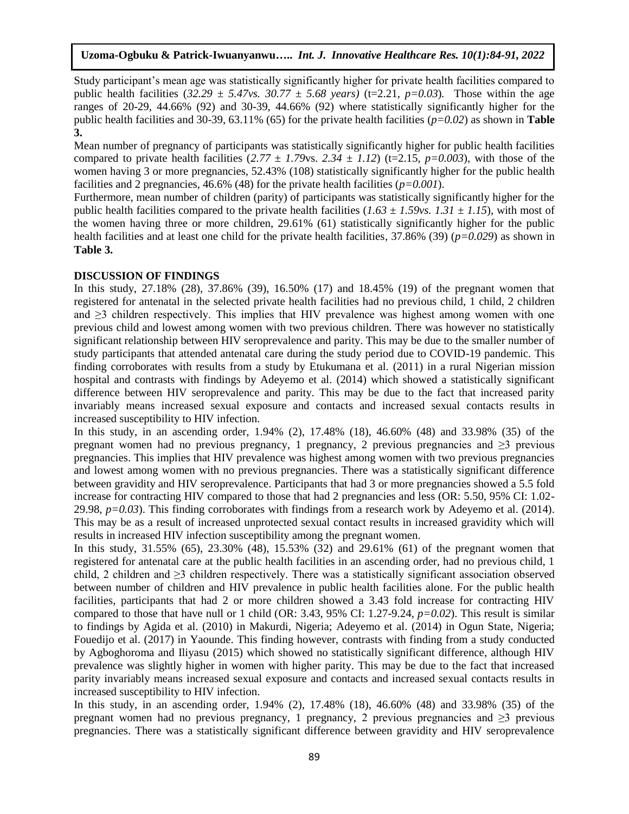Study participant's mean age was statistically significantly higher for private health facilities compared to public health facilities  $(32.29 \pm 5.47 \text{ vs. } 30.77 \pm 5.68 \text{ years})$  (t=2.21, *p*=0.03). Those within the age ranges of 20-29, 44.66% (92) and 30-39, 44.66% (92) where statistically significantly higher for the public health facilities and 30-39, 63.11% (65) for the private health facilities (*p=0.02*) as shown in **Table 3.**

Mean number of pregnancy of participants was statistically significantly higher for public health facilities compared to private health facilities  $(2.77 \pm 1.79 \text{ vs. } 2.34 \pm 1.12)$  (t=2.15,  $p=0.003$ ), with those of the women having 3 or more pregnancies, 52.43% (108) statistically significantly higher for the public health facilities and 2 pregnancies,  $46.6\%$  (48) for the private health facilities ( $p=0.001$ ).

Furthermore, mean number of children (parity) of participants was statistically significantly higher for the public health facilities compared to the private health facilities  $(1.63 \pm 1.59 \text{v s}$ .  $1.31 \pm 1.15)$ , with most of the women having three or more children, 29.61% (61) statistically significantly higher for the public health facilities and at least one child for the private health facilities, 37.86% (39) (*p=0.029*) as shown in **Table 3.**

#### **DISCUSSION OF FINDINGS**

In this study, 27.18% (28), 37.86% (39), 16.50% (17) and 18.45% (19) of the pregnant women that registered for antenatal in the selected private health facilities had no previous child, 1 child, 2 children and  $\geq$ 3 children respectively. This implies that HIV prevalence was highest among women with one previous child and lowest among women with two previous children. There was however no statistically significant relationship between HIV seroprevalence and parity. This may be due to the smaller number of study participants that attended antenatal care during the study period due to COVID-19 pandemic. This finding corroborates with results from a study by Etukumana et al. (2011) in a rural Nigerian mission hospital and contrasts with findings by Adeyemo et al. (2014) which showed a statistically significant difference between HIV seroprevalence and parity. This may be due to the fact that increased parity invariably means increased sexual exposure and contacts and increased sexual contacts results in increased susceptibility to HIV infection.

In this study, in an ascending order, 1.94% (2), 17.48% (18), 46.60% (48) and 33.98% (35) of the pregnant women had no previous pregnancy, 1 pregnancy, 2 previous pregnancies and  $\geq$ 3 previous pregnancies. This implies that HIV prevalence was highest among women with two previous pregnancies and lowest among women with no previous pregnancies. There was a statistically significant difference between gravidity and HIV seroprevalence. Participants that had 3 or more pregnancies showed a 5.5 fold increase for contracting HIV compared to those that had 2 pregnancies and less (OR: 5.50, 95% CI: 1.02- 29.98,  $p=0.03$ ). This finding corroborates with findings from a research work by Adeyemo et al. (2014). This may be as a result of increased unprotected sexual contact results in increased gravidity which will results in increased HIV infection susceptibility among the pregnant women.

In this study, 31.55% (65), 23.30% (48), 15.53% (32) and 29.61% (61) of the pregnant women that registered for antenatal care at the public health facilities in an ascending order, had no previous child, 1 child, 2 children and  $\geq$ 3 children respectively. There was a statistically significant association observed between number of children and HIV prevalence in public health facilities alone. For the public health facilities, participants that had 2 or more children showed a 3.43 fold increase for contracting HIV compared to those that have null or 1 child (OR: 3.43, 95% CI: 1.27-9.24, *p=0.02*). This result is similar to findings by Agida et al. (2010) in Makurdi, Nigeria; Adeyemo et al. (2014) in Ogun State, Nigeria; Fouedijo et al. (2017) in Yaounde. This finding however, contrasts with finding from a study conducted by Agboghoroma and Iliyasu (2015) which showed no statistically significant difference, although HIV prevalence was slightly higher in women with higher parity. This may be due to the fact that increased parity invariably means increased sexual exposure and contacts and increased sexual contacts results in increased susceptibility to HIV infection.

In this study, in an ascending order, 1.94% (2), 17.48% (18), 46.60% (48) and 33.98% (35) of the pregnant women had no previous pregnancy, 1 pregnancy, 2 previous pregnancies and  $\geq$ 3 previous pregnancies. There was a statistically significant difference between gravidity and HIV seroprevalence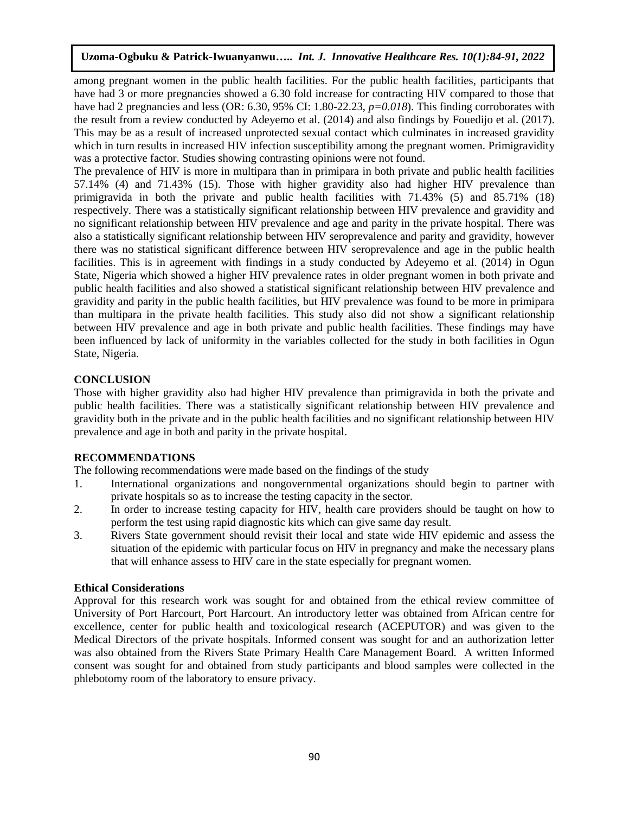among pregnant women in the public health facilities. For the public health facilities, participants that have had 3 or more pregnancies showed a 6.30 fold increase for contracting HIV compared to those that have had 2 pregnancies and less (OR: 6.30, 95% CI: 1.80-22.23,  $p=0.018$ ). This finding corroborates with the result from a review conducted by Adeyemo et al. (2014) and also findings by Fouedijo et al. (2017). This may be as a result of increased unprotected sexual contact which culminates in increased gravidity which in turn results in increased HIV infection susceptibility among the pregnant women. Primigravidity was a protective factor. Studies showing contrasting opinions were not found.

The prevalence of HIV is more in multipara than in primipara in both private and public health facilities 57.14% (4) and 71.43% (15). Those with higher gravidity also had higher HIV prevalence than primigravida in both the private and public health facilities with 71.43% (5) and 85.71% (18) respectively. There was a statistically significant relationship between HIV prevalence and gravidity and no significant relationship between HIV prevalence and age and parity in the private hospital. There was also a statistically significant relationship between HIV seroprevalence and parity and gravidity, however there was no statistical significant difference between HIV seroprevalence and age in the public health facilities. This is in agreement with findings in a study conducted by Adeyemo et al. (2014) in Ogun State, Nigeria which showed a higher HIV prevalence rates in older pregnant women in both private and public health facilities and also showed a statistical significant relationship between HIV prevalence and gravidity and parity in the public health facilities, but HIV prevalence was found to be more in primipara than multipara in the private health facilities. This study also did not show a significant relationship between HIV prevalence and age in both private and public health facilities. These findings may have been influenced by lack of uniformity in the variables collected for the study in both facilities in Ogun State, Nigeria.

# **CONCLUSION**

Those with higher gravidity also had higher HIV prevalence than primigravida in both the private and public health facilities. There was a statistically significant relationship between HIV prevalence and gravidity both in the private and in the public health facilities and no significant relationship between HIV prevalence and age in both and parity in the private hospital.

# **RECOMMENDATIONS**

The following recommendations were made based on the findings of the study

- 1. International organizations and nongovernmental organizations should begin to partner with private hospitals so as to increase the testing capacity in the sector.
- 2. In order to increase testing capacity for HIV, health care providers should be taught on how to perform the test using rapid diagnostic kits which can give same day result.
- 3. Rivers State government should revisit their local and state wide HIV epidemic and assess the situation of the epidemic with particular focus on HIV in pregnancy and make the necessary plans that will enhance assess to HIV care in the state especially for pregnant women.

# **Ethical Considerations**

Approval for this research work was sought for and obtained from the ethical review committee of University of Port Harcourt, Port Harcourt. An introductory letter was obtained from African centre for excellence, center for public health and toxicological research (ACEPUTOR) and was given to the Medical Directors of the private hospitals. Informed consent was sought for and an authorization letter was also obtained from the Rivers State Primary Health Care Management Board. A written Informed consent was sought for and obtained from study participants and blood samples were collected in the phlebotomy room of the laboratory to ensure privacy.